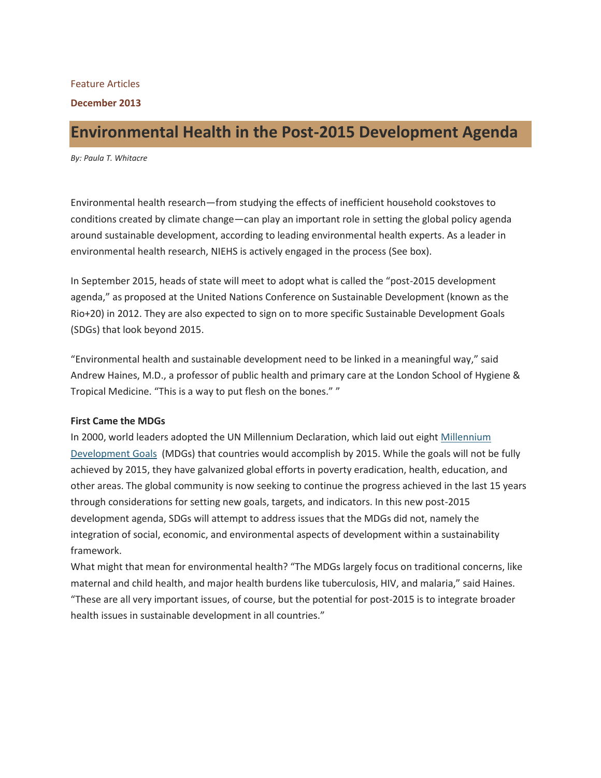#### Feature Articles

#### **December 2013**

# **Environmental Health in the Post-2015 Development Agenda**

*By: Paula T. Whitacre*

Environmental health research—from studying the effects of inefficient household cookstoves to conditions created by climate change—can play an important role in setting the global policy agenda around sustainable development, according to leading environmental health experts. As a leader in environmental health research, NIEHS is actively engaged in the process (See box).

In September 2015, heads of state will meet to adopt what is called the "post-2015 development agenda," as proposed at the United Nations Conference on Sustainable Development (known as the Rio+20) in 2012. They are also expected to sign on to more specific Sustainable Development Goals (SDGs) that look beyond 2015.

"Environmental health and sustainable development need to be linked in a meaningful way," said Andrew Haines, M.D., a professor of public health and primary care at the London School of Hygiene & Tropical Medicine. "This is a way to put flesh on the bones." "

## **First Came the MDGs**

In 2000, world leaders adopted the UN Millennium Declaration, which laid out eight [Millennium](http://www.un.org/millenniumgoals/)  [Development Goals](http://www.un.org/millenniumgoals/) (MDGs) that countries would accomplish by 2015. While the goals will not be fully achieved by 2015, they have galvanized global efforts in poverty eradication, health, education, and other areas. The global community is now seeking to continue the progress achieved in the last 15 years through considerations for setting new goals, targets, and indicators. In this new post-2015 development agenda, SDGs will attempt to address issues that the MDGs did not, namely the integration of social, economic, and environmental aspects of development within a sustainability framework.

What might that mean for environmental health? "The MDGs largely focus on traditional concerns, like maternal and child health, and major health burdens like tuberculosis, HIV, and malaria," said Haines. "These are all very important issues, of course, but the potential for post-2015 is to integrate broader health issues in sustainable development in all countries."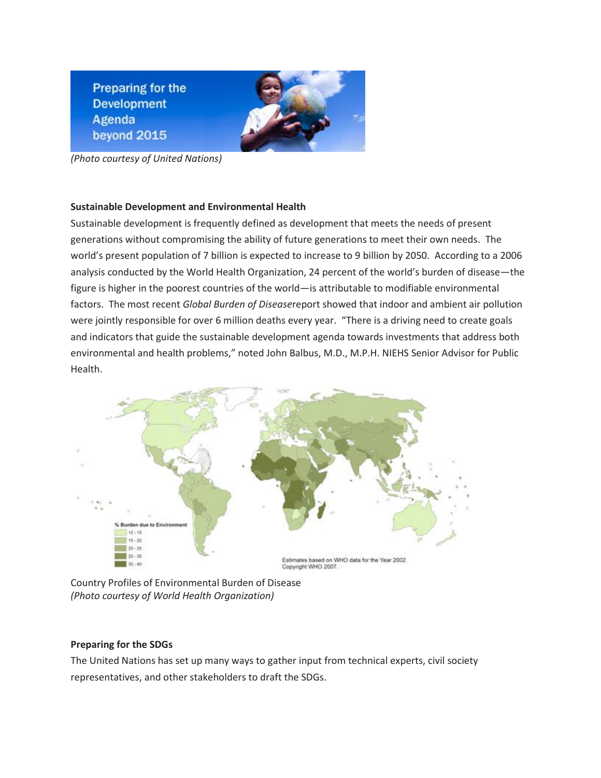**Preparing for the Development** Agenda beyond 2015



*(Photo courtesy of United Nations)*

## **Sustainable Development and Environmental Health**

Sustainable development is frequently defined as development that meets the needs of present generations without compromising the ability of future generations to meet their own needs. The world's present population of 7 billion is expected to increase to 9 billion by 2050. According to a 2006 analysis conducted by the World Health Organization, 24 percent of the world's burden of disease—the figure is higher in the poorest countries of the world—is attributable to modifiable environmental factors. The most recent *Global Burden of Disease*report showed that indoor and ambient air pollution were jointly responsible for over 6 million deaths every year. "There is a driving need to create goals and indicators that guide the sustainable development agenda towards investments that address both environmental and health problems," noted John Balbus, M.D., M.P.H. NIEHS Senior Advisor for Public Health.



Country Profiles of Environmental Burden of Disease *(Photo courtesy of World Health Organization)*

## **Preparing for the SDGs**

The United Nations has set up many ways to gather input from technical experts, civil society representatives, and other stakeholders to draft the SDGs.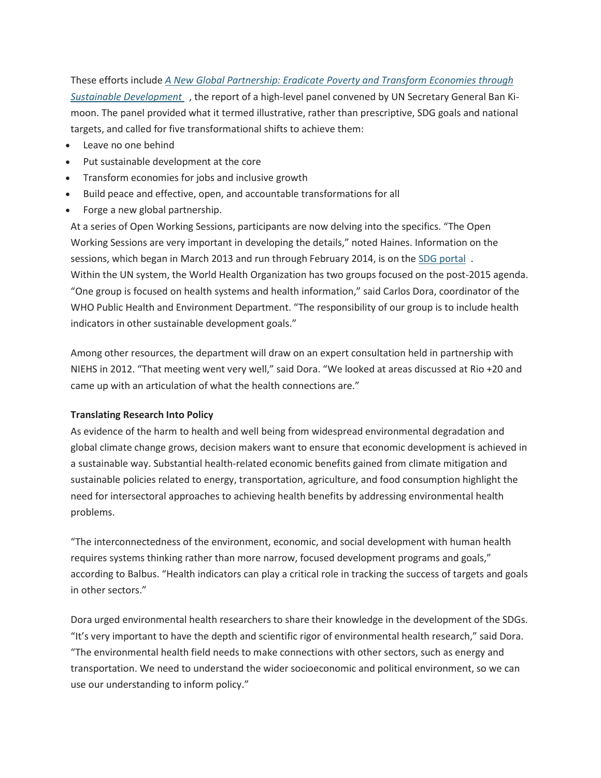These efforts include *[A New Global Partnership: Eradicate Poverty and Transform Economies through](http://www.post2015hlp.org/wp-content/uploads/2013/05/UN-Report.pdf)  [Sustainable Development](http://www.post2015hlp.org/wp-content/uploads/2013/05/UN-Report.pdf)* , the report of a high-level panel convened by UN Secretary General Ban Kimoon. The panel provided what it termed illustrative, rather than prescriptive, SDG goals and national targets, and called for five transformational shifts to achieve them:

- Leave no one behind
- Put sustainable development at the core
- Transform economies for jobs and inclusive growth
- Build peace and effective, open, and accountable transformations for all
- Forge a new global partnership.

At a series of Open Working Sessions, participants are now delving into the specifics. "The Open Working Sessions are very important in developing the details," noted Haines. Information on the sessions, which began in March 2013 and run through February 2014, is on the [SDG portal](http://sustainabledevelopment.un.org/index.php?menu=1561) . Within the UN system, the World Health Organization has two groups focused on the post-2015 agenda. "One group is focused on health systems and health information," said Carlos Dora, coordinator of the WHO Public Health and Environment Department. "The responsibility of our group is to include health indicators in other sustainable development goals."

Among other resources, the department will draw on an expert consultation held in partnership with NIEHS in 2012. "That meeting went very well," said Dora. "We looked at areas discussed at Rio +20 and came up with an articulation of what the health connections are."

### **Translating Research Into Policy**

As evidence of the harm to health and well being from widespread environmental degradation and global climate change grows, decision makers want to ensure that economic development is achieved in a sustainable way. Substantial health-related economic benefits gained from climate mitigation and sustainable policies related to energy, transportation, agriculture, and food consumption highlight the need for intersectoral approaches to achieving health benefits by addressing environmental health problems.

"The interconnectedness of the environment, economic, and social development with human health requires systems thinking rather than more narrow, focused development programs and goals," according to Balbus. "Health indicators can play a critical role in tracking the success of targets and goals in other sectors."

Dora urged environmental health researchers to share their knowledge in the development of the SDGs. "It's very important to have the depth and scientific rigor of environmental health research," said Dora. "The environmental health field needs to make connections with other sectors, such as energy and transportation. We need to understand the wider socioeconomic and political environment, so we can use our understanding to inform policy."